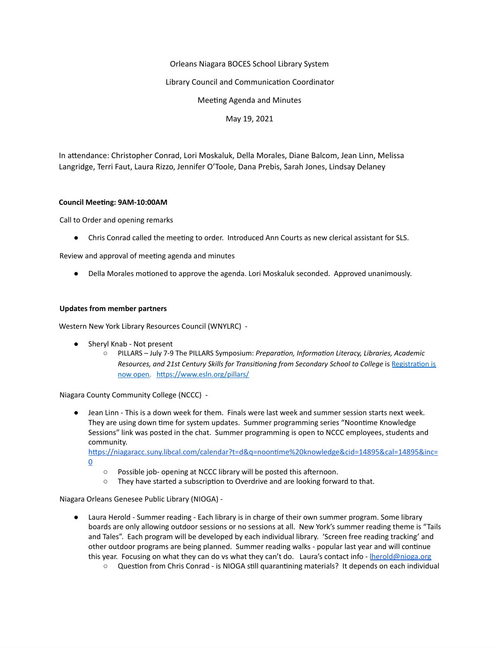# Orleans Niagara BOCES School Library System

## Library Council and Communication Coordinator

Meeting Agenda and Minutes

May 19, 2021

In attendance: Christopher Conrad, Lori Moskaluk, Della Morales, Diane Balcom, Jean Linn, Melissa Langridge, Terri Faut, Laura Rizzo, Jennifer O'Toole, Dana Prebis, Sarah Jones, Lindsay Delaney

#### **Council Meeting: 9AM-10:00AM**

Call to Order and opening remarks

• Chris Conrad called the meeting to order. Introduced Ann Courts as new clerical assistant for SLS.

Review and approval of meeting agenda and minutes

• Della Morales motioned to approve the agenda. Lori Moskaluk seconded. Approved unanimously.

#### **Updates from member partners**

Western New York Library Resources Council (WNYLRC) -

- Sheryl Knab Not present
	- $\circ$  PILLARS July 7-9 The PILLARS Symposium: *Preparation, Information Literacy, Libraries, Academic Re[s](https://docs.google.com/forms/d/e/1FAIpQLSeEciRsPp1VsGjEheMOwHrA2Cnfb4aLjk6hOByUtc39hkc2ew/viewform?usp=sf_link)ources, and 21st Century Skills for Transitioning from Secondary School to College is Registration is* now [open.](https://www.esln.org/events/pillars/) https://www.esln.org/pillars/

Niagara County Community College (NCCC) -

● Jean Linn - This is a down week for them. Finals were last week and summer session starts next week. They are using down time for system updates. Summer programming series "Noontime Knowledge Sessions" link was posted in the chat. Summer programming is open to NCCC employees, students and community.

https://niagaracc.suny.libcal.com/calendar?t=d&q=noontime%20knowledge&cid=14895&cal=14895&inc= [0](https://niagaracc.suny.libcal.com/calendar?t=d&q=noontime%20knowledge&cid=14895&cal=14895&inc=0)

- Possible job- opening at NCCC library will be posted this afternoon.
- $\circ$  They have started a subscription to Overdrive and are looking forward to that.

Niagara Orleans Genesee Public Library (NIOGA) -

- Laura Herold Summer reading Each library is in charge of their own summer program. Some library boards are only allowing outdoor sessions or no sessions at all. New York's summer reading theme is "Tails and Tales". Each program will be developed by each individual library. 'Screen free reading tracking' and other outdoor programs are being planned. Summer reading walks - popular last year and will continue this year. Focusing on what they can do vs what they can't do. Laura's contact info - **Iherold@nioga.org** 
	- Question from Chris Conrad is NIOGA still quarantining materials? It depends on each individual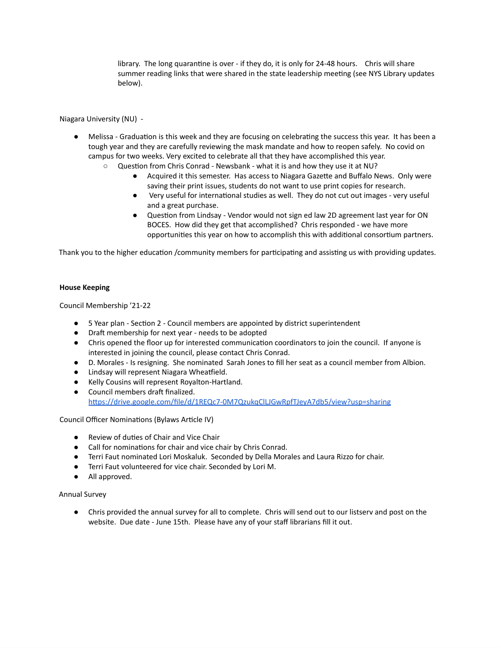library. The long quarantine is over - if they do, it is only for 24-48 hours. Chris will share summer reading links that were shared in the state leadership meeting (see NYS Library updates below).

Niagara University (NU) -

- Melissa Graduation is this week and they are focusing on celebrating the success this year. It has been a tough year and they are carefully reviewing the mask mandate and how to reopen safely. No covid on campus for two weeks. Very excited to celebrate all that they have accomplished this year.
	- Question from Chris Conrad Newsbank what it is and how they use it at NU?
		- Acquired it this semester. Has access to Niagara Gazette and Buffalo News. Only were saving their print issues, students do not want to use print copies for research.
		- Very useful for international studies as well. They do not cut out images very useful and a great purchase.
		- Question from Lindsay Vendor would not sign ed law 2D agreement last year for ON BOCES. How did they get that accomplished? Chris responded - we have more opportunities this year on how to accomplish this with additional consortium partners.

Thank you to the higher education /community members for participating and assisting us with providing updates.

#### **House Keeping**

Council Membership '21-22

- 5 Year plan Section 2 Council members are appointed by district superintendent
- Dra membership for next year needs to be adopted
- Chris opened the floor up for interested communication coordinators to join the council. If anyone is interested in joining the council, please contact Chris Conrad.
- D. Morales Is resigning. She nominated Sarah Jones to fill her seat as a council member from Albion.
- Lindsay will represent Niagara Wheatfield.
- Kelly Cousins will represent Royalton-Hartland.
- Council members draft finalized. https://drive.google.com/file/d/1REQc7-0M7QzukqClLJGwRpfTJeyA7db5/view?usp=sharing

Council Officer Nominations (Bylaws Article IV)

- Review of duties of Chair and Vice Chair
- Call for nominations for chair and vice chair by Chris Conrad.
- Terri Faut nominated Lori Moskaluk. Seconded by Della Morales and Laura Rizzo for chair.
- Terri Faut volunteered for vice chair. Seconded by Lori M.
- All approved.

Annual Survey

● Chris provided the annual survey for all to complete. Chris will send out to our listserv and post on the website. Due date - June 15th. Please have any of your staff librarians fill it out.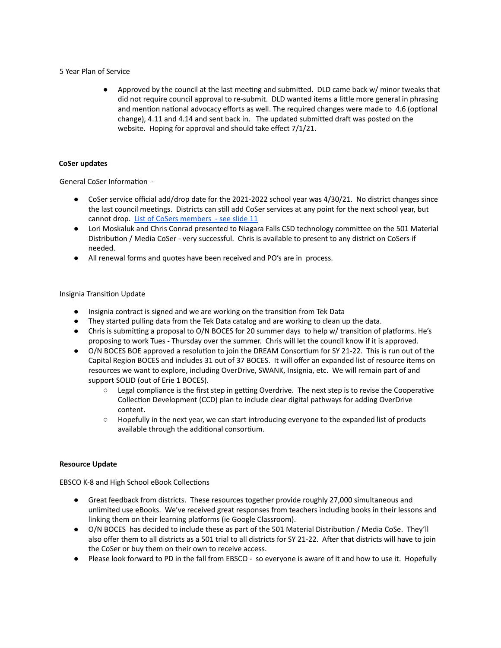#### 5 Year Plan of Service

● Approved by the council at the last meeting and submitted. DLD came back w/ minor tweaks that did not require council approval to re-submit. DLD wanted items a little more general in phrasing and mention national advocacy efforts as well. The required changes were made to 4.6 (optional change), 4.11 and 4.14 and sent back in. The updated submitted draft was posted on the website. Hoping for approval and should take effect 7/1/21.

## **CoSer updates**

General CoSer Information -

- CoSer service official add/drop date for the 2021-2022 school year was 4/30/21. No district changes since the last council meetings. Districts can still add CoSer services at any point for the next school year, but cannot drop. List of CoSers [members](https://docs.google.com/presentation/d/1ZXJ2xw-9UC-aB5Ss3qsm3O-wVmrTnL61Nw5u3FpAkqQ/edit?usp=sharing) - see slide 11
- Lori Moskaluk and Chris Conrad presented to Niagara Falls CSD technology committee on the 501 Material Distribution / Media CoSer - very successful. Chris is available to present to any district on CoSers if needed.
- All renewal forms and quotes have been received and PO's are in process.

## Insignia Transition Update

- Insignia contract is signed and we are working on the transition from Tek Data
- They started pulling data from the Tek Data catalog and are working to clean up the data.
- Chris is submitting a proposal to O/N BOCES for 20 summer days to help w/ transition of platforms. He's proposing to work Tues - Thursday over the summer. Chris will let the council know if it is approved.
- O/N BOCES BOE approved a resolution to join the DREAM Consortium for SY 21-22. This is run out of the Capital Region BOCES and includes 31 out of 37 BOCES. It will offer an expanded list of resource items on resources we want to explore, including OverDrive, SWANK, Insignia, etc. We will remain part of and support SOLID (out of Erie 1 BOCES).
	- Legal compliance is the first step in getting Overdrive. The next step is to revise the Cooperative Collection Development (CCD) plan to include clear digital pathways for adding OverDrive content.
	- Hopefully in the next year, we can start introducing everyone to the expanded list of products available through the additional consortium.

#### **Resource Update**

EBSCO K-8 and High School eBook Collections

- Great feedback from districts. These resources together provide roughly 27,000 simultaneous and unlimited use eBooks. We've received great responses from teachers including books in their lessons and linking them on their learning platforms (ie Google Classroom).
- O/N BOCES has decided to include these as part of the 501 Material Distribution / Media CoSe. They'll also offer them to all districts as a 501 trial to all districts for SY 21-22. After that districts will have to join the CoSer or buy them on their own to receive access.
- Please look forward to PD in the fall from EBSCO so everyone is aware of it and how to use it. Hopefully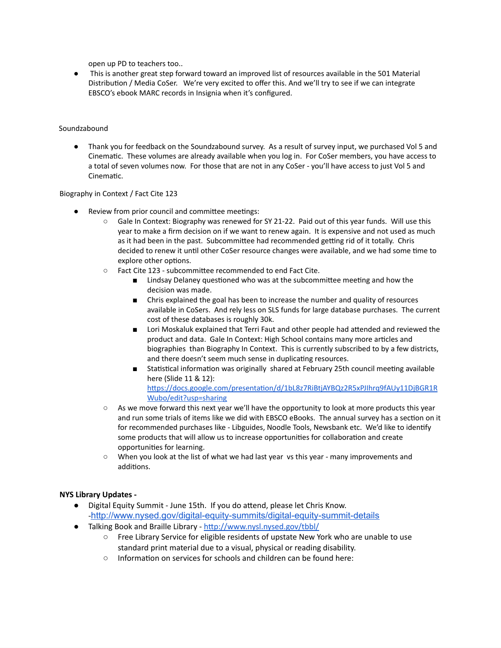open up PD to teachers too..

● This is another great step forward toward an improved list of resources available in the 501 Material Distribution / Media CoSer. We're very excited to offer this. And we'll try to see if we can integrate EBSCO's ebook MARC records in Insignia when it's configured.

## Soundzabound

● Thank you for feedback on the Soundzabound survey. As a result of survey input, we purchased Vol 5 and Cinematic. These volumes are already available when you log in. For CoSer members, you have access to a total of seven volumes now. For those that are not in any CoSer - you'll have access to just Vol 5 and Cinematic.

## Biography in Context / Fact Cite 123

- Review from prior council and committee meetings:
	- Gale In Context: Biography was renewed for SY 21-22. Paid out of this year funds. Will use this year to make a firm decision on if we want to renew again. It is expensive and not used as much as it had been in the past. Subcommittee had recommended getting rid of it totally. Chris decided to renew it until other CoSer resource changes were available, and we had some time to explore other options.
	- $\circ$  Fact Cite 123 subcommittee recommended to end Fact Cite.
		- Lindsay Delaney questioned who was at the subcommittee meeting and how the decision was made.
		- Chris explained the goal has been to increase the number and quality of resources available in CoSers. And rely less on SLS funds for large database purchases. The current cost of these databases is roughly 30k.
		- Lori Moskaluk explained that Terri Faut and other people had attended and reviewed the product and data. Gale In Context: High School contains many more articles and biographies than Biography In Context. This is currently subscribed to by a few districts, and there doesn't seem much sense in duplicating resources.
		- Statistical information was originally shared at February 25th council meeting available here (Slide 11 & 12): https://docs.google.com/presentation/d/1bL8z7RiBtjAYBQz2R5xPJIhrq9fAUy11DjBGR1R [Wubo/edit?usp=sharing](https://docs.google.com/presentation/d/1bL8z7RiBtjAYBQz2R5xPJIhrq9fAUy11DjBGR1RWubo/edit?usp=sharing)
	- As we move forward this next year we'll have the opportunity to look at more products this year and run some trials of items like we did with EBSCO eBooks. The annual survey has a section on it for recommended purchases like - Libguides, Noodle Tools, Newsbank etc. We'd like to identify some products that will allow us to increase opportunities for collaboration and create opportunities for learning.
	- When you look at the list of what we had last year vs this year many improvements and additions.

# **NYS Library Updates -**

- **•** Digital Equity Summit June 15th. If you do attend, please let Chris Know. -<http://www.nysed.gov/digital-equity-summits/digital-equity-summit-details>
- Talking Book and Braille Library http://www.nysl.nysed.gov/tbbl/
	- Free Library Service for eligible residents of upstate New York who are unable to use standard print material due to a visual, physical or reading disability.
	- Information on services for schools and children can be found here: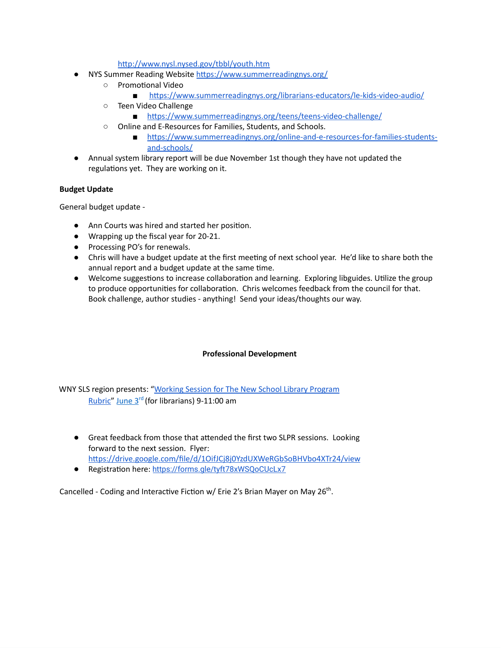http://www.nysl.nysed.gov/tbbl/youth.htm

- NYS Summer Reading Website https://www.summerreadingnys.org/
	- o Promotional Video
		- https://www.summerreadingnys.org/librarians-educators/le-kids-video-audio/
	- Teen Video Challenge
		- https://www.summerreadingnys.org/teens/teens-video-challenge/
	- Online and E-Resources for Families, Students, and Schools.
		- https://www.summerreadingnys.org/online-and-e-resources-for-families-students[and-schools/](https://www.summerreadingnys.org/online-and-e-resources-for-families-students-and-schools/)
- Annual system library report will be due November 1st though they have not updated the regulations yet. They are working on it.

# **Budget Update**

General budget update -

- Ann Courts was hired and started her position.
- Wrapping up the fiscal year for 20-21.
- Processing PO's for renewals.
- Chris will have a budget update at the first meeting of next school year. He'd like to share both the annual report and a budget update at the same time.
- Welcome suggestions to increase collaboration and learning. Exploring libguides. Utilize the group to produce opportunities for collaboration. Chris welcomes feedback from the council for that. Book challenge, author studies - anything! Send your ideas/thoughts our way.

# **Professional Development**

WNY SLS region presents: "Working Session for The New School Library [Program](https://drive.google.com/file/d/1OifJCj8j0YzdUXWeRGbSoBHVbo4XTr24/view) [Rubric"](https://drive.google.com/file/d/1OifJCj8j0YzdUXWeRGbSoBHVbo4XTr24/view) June 3<sup>rd</sup> (for librarians) 9-11:00 am

- Great feedback from those that attended the first two SLPR sessions. Looking forward to the next session. Flyer: https://drive.google.com/file/d/1OifJCj8j0YzdUXWeRGbSoBHVbo4XTr24/view
- Registration here: https://forms.gle/tyft78xWSQoCUcLx7

Cancelled - Coding and Interactive Fiction w/ Erie 2's Brian Mayer on May 26<sup>th</sup>.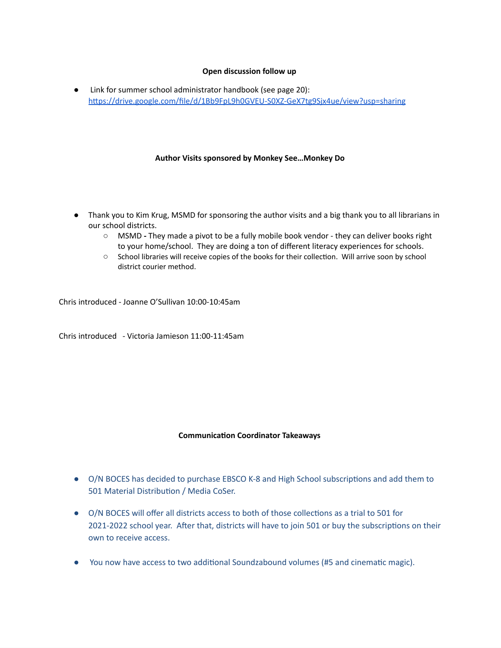# **Open discussion follow up**

● Link for summer school administrator handbook (see page 20): [hps://drive.google.com/file/d/1Bb9FpL9h0GVEU-S0XZ-GeX7tg9Sjx4ue/view?usp=sharing](https://drive.google.com/file/d/1Bb9FpL9h0GVEU-S0XZ-GeX7tg9Sjx4ue/view?usp=sharing)

## **Author Visits sponsored by Monkey See…Monkey Do**

- Thank you to Kim Krug, MSMD for sponsoring the author visits and a big thank you to all librarians in our school districts.
	- MSMD **-** They made a pivot to be a fully mobile book vendor they can deliver books right to your home/school. They are doing a ton of different literacy experiences for schools.
	- School libraries will receive copies of the books for their collection. Will arrive soon by school district courier method.

Chris introduced - Joanne O'Sullivan 10:00-10:45am

Chris introduced - Victoria Jamieson 11:00-11:45am

#### **Communication Coordinator Takeaways**

- O/N BOCES has decided to purchase EBSCO K-8 and High School subscriptions and add them to 501 Material Distribution / Media CoSer.
- O/N BOCES will offer all districts access to both of those collections as a trial to 501 for 2021-2022 school year. After that, districts will have to join 501 or buy the subscriptions on their own to receive access.
- You now have access to two additional Soundzabound volumes (#5 and cinematic magic).